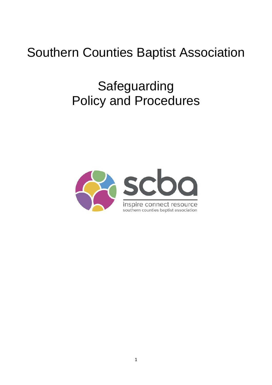# Southern Counties Baptist Association

# Safeguarding Policy and Procedures

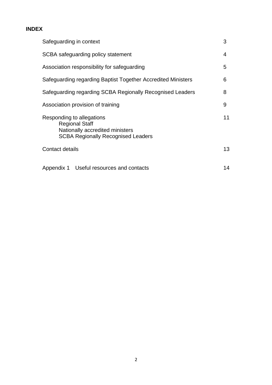# **INDEX**

| Safeguarding in context                                                                                                            | 3  |
|------------------------------------------------------------------------------------------------------------------------------------|----|
| SCBA safeguarding policy statement                                                                                                 | 4  |
| Association responsibility for safeguarding                                                                                        | 5  |
| Safeguarding regarding Baptist Together Accredited Ministers                                                                       | 6  |
| Safeguarding regarding SCBA Regionally Recognised Leaders                                                                          | 8  |
| Association provision of training                                                                                                  | 9  |
| Responding to allegations<br><b>Regional Staff</b><br>Nationally accredited ministers<br><b>SCBA Regionally Recognised Leaders</b> | 11 |
| Contact details                                                                                                                    | 13 |
| Appendix 1 Useful resources and contacts                                                                                           | 14 |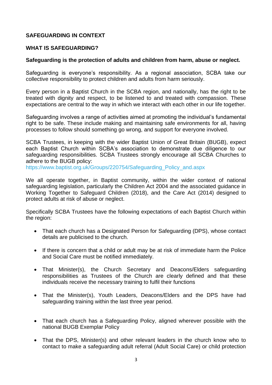# **SAFEGUARDING IN CONTEXT**

# **WHAT IS SAFEGUARDING?**

### **Safeguarding is the protection of adults and children from harm, abuse or neglect.**

Safeguarding is everyone's responsibility. As a regional association, SCBA take our collective responsibility to protect children and adults from harm seriously.

Every person in a Baptist Church in the SCBA region, and nationally, has the right to be treated with dignity and respect, to be listened to and treated with compassion. These expectations are central to the way in which we interact with each other in our life together.

Safeguarding involves a range of activities aimed at promoting the individual's fundamental right to be safe. These include making and maintaining safe environments for all, having processes to follow should something go wrong, and support for everyone involved.

SCBA Trustees, in keeping with the wider Baptist Union of Great Britain (BUGB), expect each Baptist Church within SCBA's association to demonstrate due diligence to our safeguarding responsibilities. SCBA Trustees strongly encourage all SCBA Churches to adhere to the BUGB policy:

[https://www.baptist.org.uk/Groups/220754/Safeguarding\\_Policy\\_and.aspx](https://www.baptist.org.uk/Groups/220754/Safeguarding_Policy_and.aspx)

We all operate together, in Baptist community, within the wider context of national safeguarding legislation, particularly the Children Act 2004 and the associated guidance in Working Together to Safeguard Children (2018), and the Care Act (2014) designed to protect adults at risk of abuse or neglect.

Specifically SCBA Trustees have the following expectations of each Baptist Church within the region:

- That each church has a Designated Person for Safeguarding (DPS), whose contact details are publicised to the church.
- If there is concern that a child or adult may be at risk of immediate harm the Police and Social Care must be notified immediately.
- That Minister(s), the Church Secretary and Deacons/Elders safeguarding responsibilities as Trustees of the Church are clearly defined and that these individuals receive the necessary training to fulfil their functions
- That the Minister(s), Youth Leaders, Deacons/Elders and the DPS have had safeguarding training within the last three year period.
- That each church has a Safeguarding Policy, aligned wherever possible with the national BUGB Exemplar Policy
- That the DPS, Minister(s) and other relevant leaders in the church know who to contact to make a safeguarding adult referral (Adult Social Care) or child protection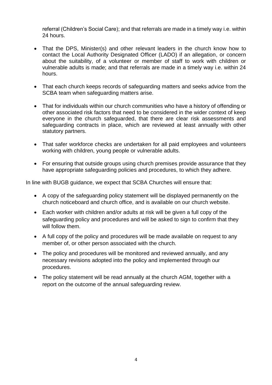referral (Children's Social Care); and that referrals are made in a timely way i.e. within 24 hours.

- That the DPS, Minister(s) and other relevant leaders in the church know how to contact the Local Authority Designated Officer (LADO) if an allegation, or concern about the suitability, of a volunteer or member of staff to work with children or vulnerable adults is made; and that referrals are made in a timely way i.e. within 24 hours.
- That each church keeps records of safeguarding matters and seeks advice from the SCBA team when safeguarding matters arise.
- That for individuals within our church communities who have a history of offending or other associated risk factors that need to be considered in the wider context of keep everyone in the church safeguarded, that there are clear risk assessments and safeguarding contracts in place, which are reviewed at least annually with other statutory partners.
- That safer workforce checks are undertaken for all paid employees and volunteers working with children, young people or vulnerable adults.
- For ensuring that outside groups using church premises provide assurance that they have appropriate safeguarding policies and procedures, to which they adhere.

In line with BUGB guidance, we expect that SCBA Churches will ensure that:

- A copy of the safeguarding policy statement will be displayed permanently on the church noticeboard and church office, and is available on our church website.
- Each worker with children and/or adults at risk will be given a full copy of the safeguarding policy and procedures and will be asked to sign to confirm that they will follow them.
- A full copy of the policy and procedures will be made available on request to any member of, or other person associated with the church.
- The policy and procedures will be monitored and reviewed annually, and any necessary revisions adopted into the policy and implemented through our procedures.
- The policy statement will be read annually at the church AGM, together with a report on the outcome of the annual safeguarding review.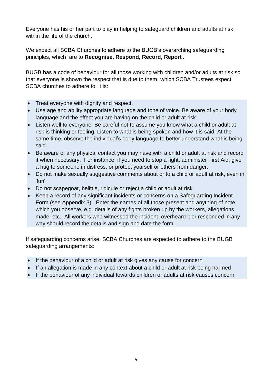Everyone has his or her part to play in helping to safeguard children and adults at risk within the life of the church.

We expect all SCBA Churches to adhere to the BUGB's overarching safeguarding principles, which are to **Recognise, Respond, Record, Report** .

BUGB has a code of behaviour for all those working with children and/or adults at risk so that everyone is shown the respect that is due to them, which SCBA Trustees expect SCBA churches to adhere to, it is:

- Treat everyone with dignity and respect.
- Use age and ability appropriate language and tone of voice. Be aware of your body language and the effect you are having on the child or adult at risk.
- Listen well to everyone. Be careful not to assume you know what a child or adult at risk is thinking or feeling. Listen to what is being spoken and how it is said. At the same time, observe the individual's body language to better understand what is being said.
- Be aware of any physical contact you may have with a child or adult at risk and record it when necessary. For instance, if you need to stop a fight, administer First Aid, give a hug to someone in distress, or protect yourself or others from danger.
- Do not make sexually suggestive comments about or to a child or adult at risk, even in 'fun'.
- Do not scapegoat, belittle, ridicule or reject a child or adult at risk.
- Keep a record of any significant incidents or concerns on a Safeguarding Incident Form (see Appendix 3). Enter the names of all those present and anything of note which you observe, e.g. details of any fights broken up by the workers, allegations made, etc. All workers who witnessed the incident, overheard it or responded in any way should record the details and sign and date the form.

If safeguarding concerns arise, SCBA Churches are expected to adhere to the BUGB safeguarding arrangements:

- If the behaviour of a child or adult at risk gives any cause for concern
- If an allegation is made in any context about a child or adult at risk being harmed
- If the behaviour of any individual towards children or adults at risk causes concern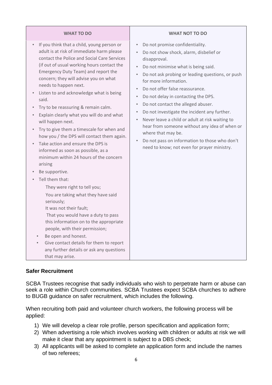| <b>WHAT TO DO</b>                                                                                                                                                                                                                                                                                                                                                                                                                                                                                                                                                                                                                                                                                                                                                                                                                                                                                                                                                                                                                                                                                                                                                                        | <b>WHAT NOT TO DO</b>                                                                                                                                                                                                                                                                                                                                                                                                                                                                                                                                                                                                                                                                                           |
|------------------------------------------------------------------------------------------------------------------------------------------------------------------------------------------------------------------------------------------------------------------------------------------------------------------------------------------------------------------------------------------------------------------------------------------------------------------------------------------------------------------------------------------------------------------------------------------------------------------------------------------------------------------------------------------------------------------------------------------------------------------------------------------------------------------------------------------------------------------------------------------------------------------------------------------------------------------------------------------------------------------------------------------------------------------------------------------------------------------------------------------------------------------------------------------|-----------------------------------------------------------------------------------------------------------------------------------------------------------------------------------------------------------------------------------------------------------------------------------------------------------------------------------------------------------------------------------------------------------------------------------------------------------------------------------------------------------------------------------------------------------------------------------------------------------------------------------------------------------------------------------------------------------------|
| If you think that a child, young person or<br>$\bullet$<br>adult is at risk of immediate harm please<br>contact the Police and Social Care Services<br>(if out of usual working hours contact the<br>Emergency Duty Team) and report the<br>concern; they will advise you on what<br>needs to happen next.<br>Listen to and acknowledge what is being<br>said.<br>Try to be reassuring & remain calm.<br>$\bullet$<br>Explain clearly what you will do and what<br>$\qquad \qquad \bullet$<br>will happen next.<br>Try to give them a timescale for when and<br>$\bullet$<br>how you / the DPS will contact them again.<br>Take action and ensure the DPS is<br>$\bullet$<br>informed as soon as possible, as a<br>minimum within 24 hours of the concern<br>arising<br>Be supportive.<br>$\bullet$<br>Tell them that:<br>They were right to tell you;<br>You are taking what they have said<br>seriously;<br>It was not their fault;<br>That you would have a duty to pass<br>this information on to the appropriate<br>people, with their permission;<br>Be open and honest.<br>Give contact details for them to report<br>any further details or ask any questions<br>that may arise. | Do not promise confidentiality.<br>$\bullet$<br>Do not show shock, alarm, disbelief or<br>disapproval.<br>Do not minimise what is being said.<br>$\bullet$<br>Do not ask probing or leading questions, or push<br>$\bullet$<br>for more information.<br>Do not offer false reassurance.<br>Do not delay in contacting the DPS.<br>$\bullet$<br>Do not contact the alleged abuser.<br>$\bullet$<br>Do not investigate the incident any further.<br>$\bullet$<br>Never leave a child or adult at risk waiting to<br>$\bullet$<br>hear from someone without any idea of when or<br>where that may be.<br>Do not pass on information to those who don't<br>$\bullet$<br>need to know; not even for prayer ministry. |

# **Safer Recruitment**

SCBA Trustees recognise that sadly individuals who wish to perpetrate harm or abuse can seek a role within Church communities. SCBA Trustees expect SCBA churches to adhere to BUGB guidance on safer recruitment, which includes the following.

When recruiting both paid and volunteer church workers, the following process will be applied:

- 1) We will develop a clear role profile, person specification and application form;
- 2) When advertising a role which involves working with children or adults at risk we will make it clear that any appointment is subject to a DBS check;
- 3) All applicants will be asked to complete an application form and include the names of two referees;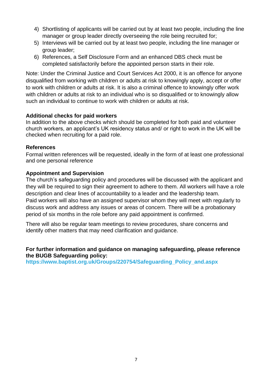- 4) Shortlisting of applicants will be carried out by at least two people, including the line manager or group leader directly overseeing the role being recruited for;
- 5) Interviews will be carried out by at least two people, including the line manager or group leader;
- 6) References, a Self Disclosure Form and an enhanced DBS check must be completed satisfactorily before the appointed person starts in their role.

Note: Under the Criminal Justice and Court Services Act 2000, it is an offence for anyone disqualified from working with children or adults at risk to knowingly apply, accept or offer to work with children or adults at risk. It is also a criminal offence to knowingly offer work with children or adults at risk to an individual who is so disqualified or to knowingly allow such an individual to continue to work with children or adults at risk.

### **Additional checks for paid workers**

In addition to the above checks which should be completed for both paid and volunteer church workers, an applicant's UK residency status and/ or right to work in the UK will be checked when recruiting for a paid role.

### **References**

Formal written references will be requested, ideally in the form of at least one professional and one personal reference

# **Appointment and Supervision**

The church's safeguarding policy and procedures will be discussed with the applicant and they will be required to sign their agreement to adhere to them. All workers will have a role description and clear lines of accountability to a leader and the leadership team. Paid workers will also have an assigned supervisor whom they will meet with regularly to discuss work and address any issues or areas of concern. There will be a probationary period of six months in the role before any paid appointment is confirmed.

There will also be regular team meetings to review procedures, share concerns and identify other matters that may need clarification and guidance.

### **For further information and guidance on managing safeguarding, please reference the BUGB Safeguarding policy:**

**[https://www.baptist.org.uk/Groups/220754/Safeguarding\\_Policy\\_and.aspx](https://www.baptist.org.uk/Groups/220754/Safeguarding_Policy_and.aspx)**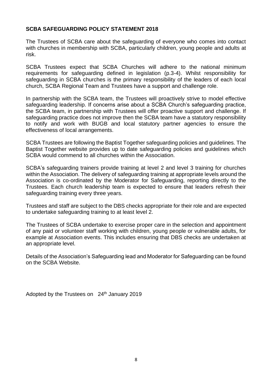### **SCBA SAFEGUARDING POLICY STATEMENT 2018**

The Trustees of SCBA care about the safeguarding of everyone who comes into contact with churches in membership with SCBA, particularly children, young people and adults at risk.

SCBA Trustees expect that SCBA Churches will adhere to the national minimum requirements for safeguarding defined in legislation (p.3-4). Whilst responsibility for safeguarding in SCBA churches is the primary responsibility of the leaders of each local church, SCBA Regional Team and Trustees have a support and challenge role.

In partnership with the SCBA team, the Trustees will proactively strive to model effective safeguarding leadership. If concerns arise about a SCBA Church's safeguarding practice, the SCBA team, in partnership with Trustees will offer proactive support and challenge. If safeguarding practice does not improve then the SCBA team have a statutory responsibility to notify and work with BUGB and local statutory partner agencies to ensure the effectiveness of local arrangements.

SCBA Trustees are following the Baptist Together safeguarding policies and guidelines. The Baptist Together website provides up to date safeguarding policies and guidelines which SCBA would commend to all churches within the Association.

SCBA's safeguarding trainers provide training at level 2 and level 3 training for churches within the Association. The delivery of safeguarding training at appropriate levels around the Association is co-ordinated by the Moderator for Safeguarding, reporting directly to the Trustees. Each church leadership team is expected to ensure that leaders refresh their safeguarding training every three years.

Trustees and staff are subject to the DBS checks appropriate for their role and are expected to undertake safeguarding training to at least level 2.

The Trustees of SCBA undertake to exercise proper care in the selection and appointment of any paid or volunteer staff working with children, young people or vulnerable adults, for example at Association events. This includes ensuring that DBS checks are undertaken at an appropriate level.

Details of the Association's Safeguarding lead and Moderator for Safeguarding can be found on the SCBA Website.

Adopted by the Trustees on 24<sup>th</sup> January 2019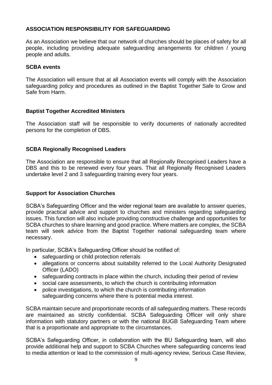# **ASSOCIATION RESPONSIBILITY FOR SAFEGUARDING**

As an Association we believe that our network of churches should be places of safety for all people, including providing adequate safeguarding arrangements for children / young people and adults.

# **SCBA events**

The Association will ensure that at all Association events will comply with the Association safeguarding policy and procedures as outlined in the Baptist Together Safe to Grow and Safe from Harm.

# **Baptist Together Accredited Ministers**

The Association staff will be responsible to verify documents of nationally accredited persons for the completion of DBS.

### **SCBA Regionally Recognised Leaders**

The Association are responsible to ensure that all Regionally Recognised Leaders have a DBS and this to be renewed every four years. That all Regionally Recognised Leaders undertake level 2 and 3 safeguarding training every four years.

### **Support for Association Churches**

SCBA's Safeguarding Officer and the wider regional team are available to answer queries, provide practical advice and support to churches and ministers regarding safeguarding issues. This function will also include providing constructive challenge and opportunities for SCBA churches to share learning and good practice. Where matters are complex, the SCBA team will seek advice from the Baptist Together national safeguarding team where necessary.

In particular, SCBA's Safeguarding Officer should be notified of:

- safeguarding or child protection referrals
- allegations or concerns about suitability referred to the Local Authority Designated Officer (LADO)
- safeguarding contracts in place within the church, including their period of review
- social care assessments, to which the church is contributing information
- police investigations, to which the church is contributing information safeguarding concerns where there is potential media interest.

SCBA maintain secure and proportionate records of all safeguarding matters. These records are maintained as strictly confidential. SCBA Safeguarding Officer will only share information with statutory partners or with the national BUGB Safeguarding Team where that is a proportionate and appropriate to the circumstances.

SCBA's Safeguarding Officer, in collaboration with the BU Safeguarding team, will also provide additional help and support to SCBA Churches where safeguarding concerns lead to media attention or lead to the commission of multi-agency review, Serious Case Review,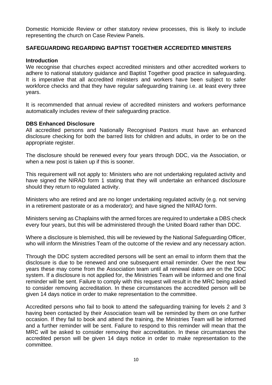Domestic Homicide Review or other statutory review processes, this is likely to include representing the church on Case Review Panels.

### **SAFEGUARDING REGARDING BAPTIST TOGETHER ACCREDITED MINISTERS**

### **Introduction**

We recognise that churches expect accredited ministers and other accredited workers to adhere to national statutory guidance and Baptist Together good practice in safeguarding. It is imperative that all accredited ministers and workers have been subject to safer workforce checks and that they have regular safeguarding training i.e. at least every three years.

It is recommended that annual review of accredited ministers and workers performance automatically includes review of their safeguarding practice.

#### **DBS Enhanced Disclosure**

All accredited persons and Nationally Recognised Pastors must have an enhanced disclosure checking for both the barred lists for children and adults, in order to be on the appropriate register.

The disclosure should be renewed every four years through DDC, via the Association, or when a new post is taken up if this is sooner.

This requirement will not apply to: Ministers who are not undertaking regulated activity and have signed the NIRAD form 1 stating that they will undertake an enhanced disclosure should they return to regulated activity.

Ministers who are retired and are no longer undertaking regulated activity (e.g. not serving in a retirement pastorate or as a moderator); and have signed the NIRAD form.

Ministers serving as Chaplains with the armed forces are required to undertake a DBS check every four years, but this will be administered through the United Board rather than DDC.

Where a disclosure is blemished, this will be reviewed by the National Safeguarding Officer, who will inform the Ministries Team of the outcome of the review and any necessary action.

Through the DDC system accredited persons will be sent an email to inform them that the disclosure is due to be renewed and one subsequent email reminder. Over the next few years these may come from the Association team until all renewal dates are on the DDC system. If a disclosure is not applied for, the Ministries Team will be informed and one final reminder will be sent. Failure to comply with this request will result in the MRC being asked to consider removing accreditation. In these circumstances the accredited person will be given 14 days notice in order to make representation to the committee.

Accredited persons who fail to book to attend the safeguarding training for levels 2 and 3 having been contacted by their Association team will be reminded by them on one further occasion. If they fail to book and attend the training, the Ministries Team will be informed and a further reminder will be sent. Failure to respond to this reminder will mean that the MRC will be asked to consider removing their accreditation. In these circumstances the accredited person will be given 14 days notice in order to make representation to the committee.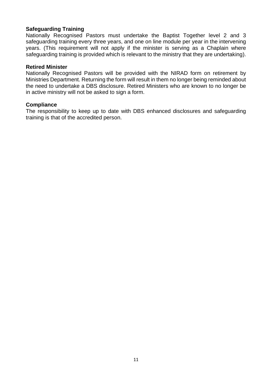### **Safeguarding Training**

Nationally Recognised Pastors must undertake the Baptist Together level 2 and 3 safeguarding training every three years, and one on line module per year in the intervening years. (This requirement will not apply if the minister is serving as a Chaplain where safeguarding training is provided which is relevant to the ministry that they are undertaking).

#### **Retired Minister**

Nationally Recognised Pastors will be provided with the NIRAD form on retirement by Ministries Department. Returning the form will result in them no longer being reminded about the need to undertake a DBS disclosure. Retired Ministers who are known to no longer be in active ministry will not be asked to sign a form.

#### **Compliance**

The responsibility to keep up to date with DBS enhanced disclosures and safeguarding training is that of the accredited person.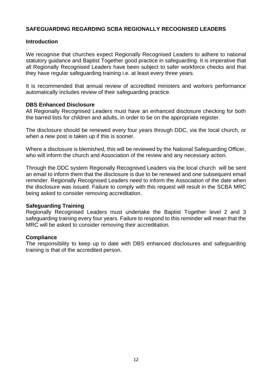# **SAFEGUARDING REGARDING SCBA REGIONALLY RECOGNISED LEADERS**

### **Introduction**

. We recognise that churches expect Regionally Recognised Leaders to adhere to national statutory guidance and Baptist Together good practice in safeguarding. It is imperative that all Regionally Recognised Leaders have been subject to safer workforce checks and that they have regular safeguarding training i.e. at least every three years.

It is recommended that annual review of accredited ministers and workers performance automatically includes review of their safeguarding practice.

#### **DBS Enhanced Disclosure**

All Regionally Recognised Leaders must have an enhanced disclosure checking for both the barred lists for children and adults, in order to be on the appropriate register.

The disclosure should be renewed every four years through DDC, via the local church, or when a new post is taken up if this is sooner.

Where a disclosure is blemished, this will be reviewed by the National Safeguarding Officer, who will inform the church and Association of the review and any necessary action.

Through the DDC system Regionally Recognised Leaders via the local church will be sent an email to inform them that the disclosure is due to be renewed and one subsequent email reminder. Regionally Recognised Leaders need to inform the Association of the date when the disclosure was issued. Failure to comply with this request will result in the SCBA MRC being asked to consider removing accreditation.

### **Safeguarding Training**

Regionally Recognised Leaders must undertake the Baptist Together level 2 and 3 safeguarding training every four years. Failure to respond to this reminder will mean that the MRC will be asked to consider removing their accreditation.

### **Compliance**

The responsibility to keep up to date with DBS enhanced disclosures and safeguarding training is that of the accredited person.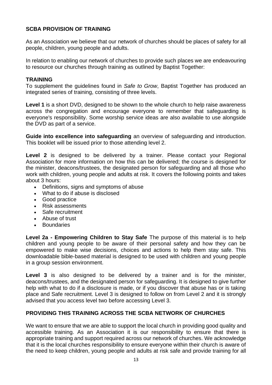# **SCBA PROVISION OF TRAINING**

As an Association we believe that our network of churches should be places of safety for all people, children, young people and adults.

In relation to enabling our network of churches to provide such places we are endeavouring to resource our churches through training as outlined by Baptist Together:

# **TRAINING**

To supplement the guidelines found in *[Safe to Grow](http://www.baptist.org.uk/Shop/Sections/Items/Item.aspx?item_id=495683)*, Baptist Together has produced an integrated series of training, consisting of three levels.

Level 1 is a short DVD, designed to be shown to the whole church to help raise awareness across the congregation and encourage everyone to remember that safeguarding is everyone's responsibility. Some [worship service ideas](http://www.baptist.org.uk/Articles/365964/Resource_Library/Free_Resources_and/Safeguarding/Service_Ideas/Resource_Library_Service.aspx) are also available to use alongside the DVD as part of a service.

**Guide into excellence into safeguarding** an overview of safeguarding and introduction. This booklet will be issued prior to those attending level 2.

Level 2 is designed to be delivered by a trainer. Please contact your Regional [Association](http://www.baptist.org.uk/Articles/364319/About/Associations_and_Specialist/Baptist_Regional_Associations/Baptist_Regional_Associations.aspx) for more information on how this can be delivered; the course is designed for the minister, deacons/trustees, the designated person for safeguarding and all those who work with children, young people and adults at risk. It covers the following points and takes about 3 hours:

- Definitions, signs and symptoms of abuse
- What to do if abuse is disclosed
- Good practice
- Risk assessments
- Safe recruitment
- Abuse of trust
- **Boundaries**

**Level 2a - Empowering Children to Stay Safe** The purpose of this material is to help children and young people to be aware of their personal safety and how they can be empowered to make wise decisions, choices and actions to help them stay safe. This [downloadable bible-based material](http://www.baptist.org.uk/Articles/365961/Resource_Library/Free_Resources_and/Safeguarding/Empowering_Children_to/Resource_Library_Empowering.aspx) is designed to be used with children and young people in a group session environment.

Level 3 is also designed to be delivered by a trainer and is for the minister, deacons/trustees, and the designated person for safeguarding. It is designed to give further help with what to do if a disclosure is made, or if you discover that abuse has or is taking place and Safe recruitment. Level 3 is designed to follow on from Level 2 and it is strongly advised that you access level two before accessing Level 3.

# **PROVIDING THIS TRAINING ACROSS THE SCBA NETWORK OF CHURCHES**

We want to ensure that we are able to support the local church in providing good quality and accessible training. As an Association it is our responsibility to ensure that there is appropriate training and support required across our network of churches. We acknowledge that it is the local churches responsibility to ensure everyone within their church is aware of the need to keep children, young people and adults at risk safe and provide training for all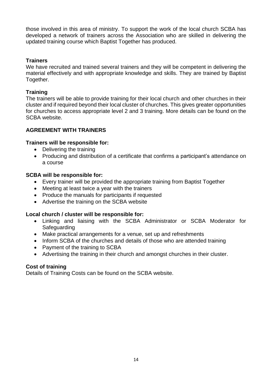those involved in this area of ministry. To support the work of the local church SCBA has developed a network of trainers across the Association who are skilled in delivering the updated training course which Baptist Together has produced.

# **Trainers**

We have recruited and trained several trainers and they will be competent in delivering the material effectively and with appropriate knowledge and skills. They are trained by Baptist Together.

# **Training**

The trainers will be able to provide training for their local church and other churches in their cluster and if required beyond their local cluster of churches. This gives greater opportunities for churches to access appropriate level 2 and 3 training. More details can be found on the SCBA website.

# **AGREEMENT WITH TRAINERS**

# **Trainers will be responsible for:**

- Delivering the training
- Producing and distribution of a certificate that confirms a participant's attendance on a course

# **SCBA will be responsible for:**

- Every trainer will be provided the appropriate training from Baptist Together
- Meeting at least twice a year with the trainers
- Produce the manuals for participants if requested
- Advertise the training on the SCBA website

# **Local church / cluster will be responsible for:**

- Linking and liaising with the SCBA Administrator or SCBA Moderator for **Safeguarding**
- Make practical arrangements for a venue, set up and refreshments
- Inform SCBA of the churches and details of those who are attended training
- Payment of the training to SCBA
- Advertising the training in their church and amongst churches in their cluster.

# **Cost of training**

Details of Training Costs can be found on the SCBA website.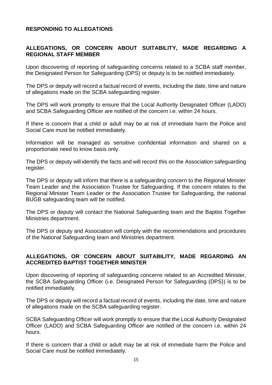## **RESPONDING TO ALLEGATIONS**

# **ALLEGATIONS, OR CONCERN ABOUT SUITABILITY, MADE REGARDING A REGIONAL STAFF MEMBER**

Upon discovering of reporting of safeguarding concerns related to a SCBA staff member, the Designated Person for Safeguarding (DPS) or deputy is to be notified immediately.

The DPS or deputy will record a factual record of events, including the date, time and nature of allegations made on the SCBA safeguarding register.

The DPS will work promptly to ensure that the Local Authority Designated Officer (LADO) and SCBA Safeguarding Officer are notified of the concern i.e. within 24 hours.

If there is concern that a child or adult may be at risk of immediate harm the Police and Social Care must be notified immediately.

Information will be managed as sensitive confidential information and shared on a proportionate need to know basis only.

The DPS or deputy will identify the facts and will record this on the Association safeguarding register.

The DPS or deputy will inform that there is a safeguarding concern to the Regional Minister Team Leader and the Association Trustee for Safeguarding. If the concern relates to the Regional Minister Team Leader or the Association Trustee for Safeguarding, the national BUGB safeguarding team will be notified.

The DPS or deputy will contact the National Safeguarding team and the Baptist Together Ministries department.

The DPS or deputy and Association will comply with the recommendations and procedures of the National Safeguarding team and Ministries department.

### **ALLEGATIONS, OR CONCERN ABOUT SUITABILITY, MADE REGARDING AN ACCREDITED BAPTIST TOGETHER MINISTER**

Upon discovering of reporting of safeguarding concerns related to an Accredited Minister, the SCBA Safeguarding Officer (i.e. Designated Person for Safeguarding (DPS)) is to be notified immediately.

The DPS or deputy will record a factual record of events, including the date, time and nature of allegations made on the SCBA safeguarding register.

SCBA Safeguarding Officer will work promptly to ensure that the Local Authority Designated Officer (LADO) and SCBA Safeguarding Officer are notified of the concern i.e. within 24 hours.

If there is concern that a child or adult may be at risk of immediate harm the Police and Social Care must be notified immediately.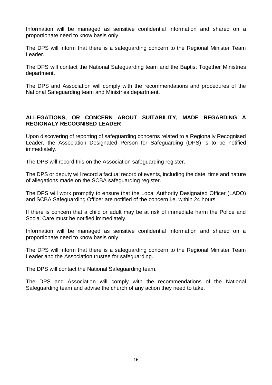Information will be managed as sensitive confidential information and shared on a proportionate need to know basis only.

The DPS will inform that there is a safeguarding concern to the Regional Minister Team Leader.

The DPS will contact the National Safeguarding team and the Baptist Together Ministries department.

The DPS and Association will comply with the recommendations and procedures of the National Safeguarding team and Ministries department.

# **ALLEGATIONS, OR CONCERN ABOUT SUITABILITY, MADE REGARDING A REGIONALY RECOGNISED LEADER**

Upon discovering of reporting of safeguarding concerns related to a Regionally Recognised Leader, the Association Designated Person for Safeguarding (DPS) is to be notified immediately.

The DPS will record this on the Association safeguarding register.

The DPS or deputy will record a factual record of events, including the date, time and nature of allegations made on the SCBA safeguarding register.

The DPS will work promptly to ensure that the Local Authority Designated Officer (LADO) and SCBA Safeguarding Officer are notified of the concern i.e. within 24 hours.

If there is concern that a child or adult may be at risk of immediate harm the Police and Social Care must be notified immediately.

Information will be managed as sensitive confidential information and shared on a proportionate need to know basis only.

The DPS will inform that there is a safeguarding concern to the Regional Minister Team Leader and the Association trustee for safeguarding.

The DPS will contact the National Safeguarding team.

The DPS and Association will comply with the recommendations of the National Safeguarding team and advise the church of any action they need to take.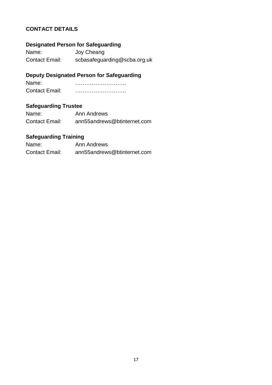# **CONTACT DETAILS**

# **Designated Person for Safeguarding**

| Name:                 | Joy Cheang                   |
|-----------------------|------------------------------|
| <b>Contact Email:</b> | scbasafeguarding@scba.org.uk |

# **Deputy Designated Person for Safeguarding**

| Name:                 |  |
|-----------------------|--|
| <b>Contact Email:</b> |  |

# **Safeguarding Trustee**

| Name:                 | Ann Andrews                 |
|-----------------------|-----------------------------|
| <b>Contact Email:</b> | ann55andrews@btinternet.com |

# **Safeguarding Training**

| Name:                 | Ann Andrews                 |
|-----------------------|-----------------------------|
| <b>Contact Email:</b> | ann55andrews@btinternet.com |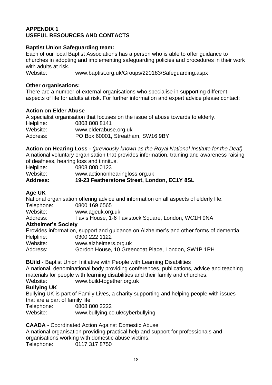## **APPENDIX 1 USEFUL RESOURCES AND CONTACTS**

# **Baptist Union Safeguarding team:**

Each of our local Baptist Associations has a person who is able to offer guidance to churches in adopting and implementing safeguarding policies and procedures in their work with adults at risk.

Website: [www.baptist.org.uk/Groups/220183/Safeguarding.aspx](http://www.baptist.org.uk/Groups/220183/Safeguarding.aspx) 

### **Other organisations:**

There are a number of external organisations who specialise in supporting different aspects of life for adults at risk. For further information and expert advice please contact:

### **Action on Elder Abuse**

A specialist organisation that focuses on the issue of abuse towards to elderly. Helpline: 0808 808 8141 Website: [www.elderabuse.org.uk](http://www.elderabuse.org.uk/) Address: PO Box 60001, Streatham, SW16 9BY

**Action on Hearing Loss -** *(previously known as the Royal National Institute for the Deaf)* A national voluntary organisation that provides information, training and awareness raising of deafness, hearing loss and tinnitus.

| <b>Address:</b> | 19-23 Featherstone Street, London, EC1Y 8SL |
|-----------------|---------------------------------------------|
| Website:        | www.actiononhearingloss.org.uk              |
| Helpline:       | 0808 808 0123                               |

# **Age UK**

National organisation offering advice and information on all aspects of elderly life.

| Telephone: | 0800 169 6565                                       |
|------------|-----------------------------------------------------|
| Website:   | www.ageuk.org.uk                                    |
| Address:   | Tavis House, 1-6 Tavistock Square, London, WC1H 9NA |

# **Alzheimer's Society**

|           | Provides information, support and guidance on Alzheimer's and other forms of dementia. |
|-----------|----------------------------------------------------------------------------------------|
| Helpline: | 0300 222 1122                                                                          |
| Website:  | www.alzheimers.org.uk                                                                  |
| Address:  | Gordon House, 10 Greencoat Place, London, SW1P 1PH                                     |

**BUild** - Baptist Union Initiative with People with Learning Disabilities

A national, denominational body providing conferences, publications, advice and teaching materials for people with learning disabilities and their family and churches.

Website: [www.build-together.org.uk](http://www.build-together.org.uk/)

# **Bullying UK**

Bullying UK is part of Family Lives, a charity supporting and helping people with issues that are a part of family life.

| Telephone: | 0808 800 2222                    |
|------------|----------------------------------|
| Website:   | www.bullying.co.uk/cyberbullying |

# **CAADA** - Coordinated Action Against Domestic Abuse

A national organisation providing practical help and support for professionals and organisations working with domestic abuse victims.

Telephone: 0117 317 8750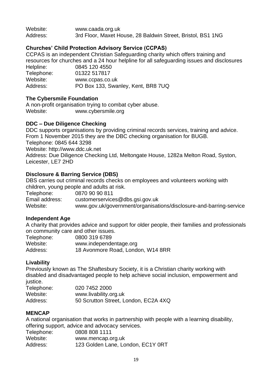Website: [www.caada.org.uk](http://www.caada.org.uk/) Address: 3rd Floor, Maxet House, 28 Baldwin Street, Bristol, BS1 1NG

# **Churches' Child Protection Advisory Service (CCPAS)**

CCPAS is an independent Christian Safeguarding charity which offers training and resources for churches and a 24 hour helpline for all safeguarding issues and disclosures Helpline: 0845 120 4550 Telephone: 01322 517817 Website: [www.ccpas.co.uk](http://www.ccpas.co.uk/) Address: PO Box 133, Swanley, Kent, BR8 7UQ

### **The Cybersmile Foundation**

A non-profit organisation trying to combat cyber abuse. Website: [www.cybersmile.org](http://www.cybersmile.org/)

#### **DDC – Due Diligence Checking**

DDC supports organisations by providing criminal records services, training and advice. From 1 November 2015 they are the DBC checking organisation for BUGB. Telephone: 0845 644 3298 Website: [http://www.ddc.uk.net](http://www.ddc.uk.net/) Address: Due Diligence Checking Ltd, Meltongate House, 1282a Melton Road, Syston, Leicester, LE7 2HD

### **Disclosure & Barring Service (DBS)**

DBS carries out criminal records checks on employees and volunteers working with children, young people and adults at risk.

Telephone: 0870 90 90 811<br>Email address: customerservice<br>Website: 1999 [customerservices@dbs.gsi.gov.uk](mailto:customerservices@dbs.gsi.gov.uk) [www.gov.uk/government/organisations/disclosure-and-barring-service](http://www.gov.uk/government/organisations/disclosure-and-barring-service)

### **Independent Age**

A charity that provides advice and support for older people, their families and professionals on community care and other issues.

| Telephone: | 0800 319 6789                     |
|------------|-----------------------------------|
| Website:   | www.independentage.org            |
| Address:   | 18 Avonmore Road, London, W14 8RR |

### **Livability**

Previously known as The Shaftesbury Society, it is a Christian charity working with disabled and disadvantaged people to help achieve social inclusion, empowerment and justice.

| Telephone: | 020 7452 2000                        |
|------------|--------------------------------------|
| Website:   | www.livability.org.uk                |
| Address:   | 50 Scrutton Street, London, EC2A 4XQ |

### **MENCAP**

A national organisation that works in partnership with people with a learning disability, offering support, advice and advocacy services. Telephone: 0808 808 1111 Website: [www.mencap.org.uk](http://www.mencap.org.uk/)  Address: 123 Golden Lane, London, EC1Y 0RT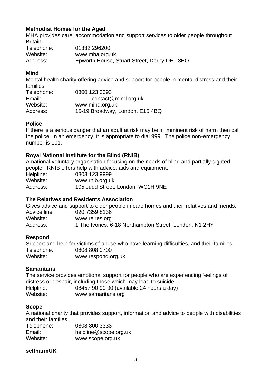# **Methodist Homes for the Aged**

MHA provides care, accommodation and support services to older people throughout Britain.

Telephone: 01332 296200 Website: [www.mha.org.uk](http://www.mha.org.uk/) Address: Epworth House, Stuart Street, Derby DE1 3EQ

# **Mind**

Mental health charity offering advice and support for people in mental distress and their families.

| Telephone: | 0300 123 3393                   |
|------------|---------------------------------|
| Email:     | contact@mind.org.uk             |
| Website:   | www.mind.org.uk                 |
| Address:   | 15-19 Broadway, London, E15 4BQ |

# **Police**

If there is a serious danger that an adult at risk may be in imminent risk of harm then call the police. In an emergency, it is appropriate to dial 999. The police non-emergency number is 101.

# **Royal National Institute for the Blind (RNIB)**

A national voluntary organisation focusing on the needs of blind and partially sighted people. RNIB offers help with advice, aids and equipment. Helpline: 0303 123 9999 Website: [www.rnib.org.uk](http://www.rnib.org.uk/) Address: 105 Judd Street, London, WC1H 9NE

# **The Relatives and Residents Association**

Gives advice and support to older people in care homes and their relatives and friends. Advice line: 020 7359 8136 Website: [www.relres.org](http://www.relres.org/) Address: 1 The Ivories, 6-18 Northampton Street, London, N1 2HY

# **Respond**

Support and help for victims of abuse who have learning difficulties, and their families. Telephone: 0808 808 0700 Website: [www.respond.org.uk](http://www.respond.org.uk/)

# **Samaritans**

The service provides emotional support for people who are experiencing feelings of distress or despair, including those which may lead to suicide. Helpline: 08457 90 90 90 (available 24 hours a day) Website: [www.samaritans.org](http://www.samaritans.org/)

# **Scope**

A national charity that provides support, information and advice to people with disabilities and their families.

| Telephone: | 0808 800 3333         |
|------------|-----------------------|
| Email:     | helpline@scope.org.uk |
| Website:   | www.scope.org.uk      |

# **selfharmUK**